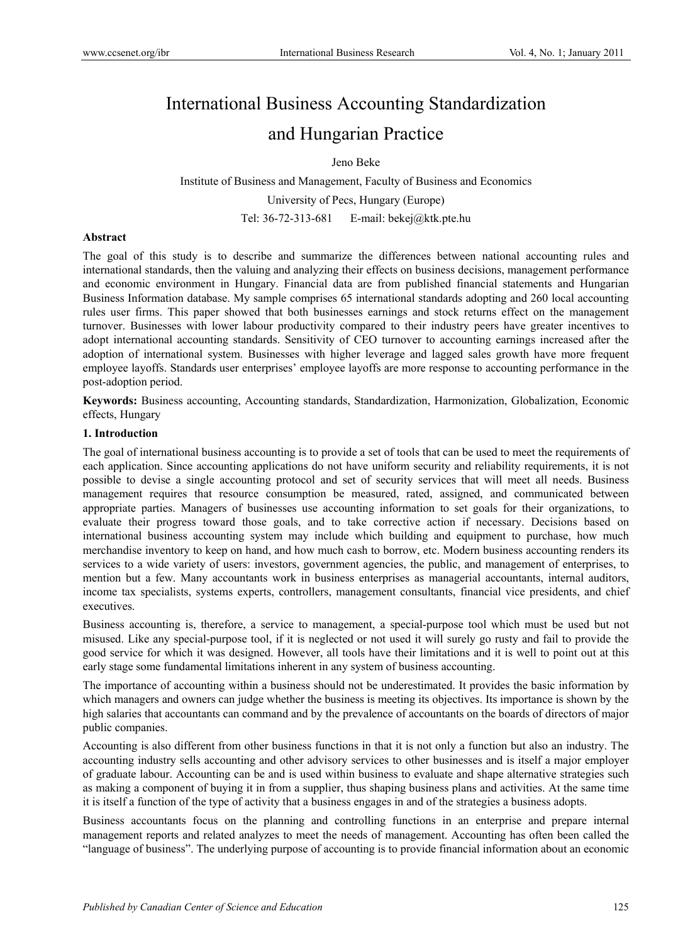# International Business Accounting Standardization and Hungarian Practice

Jeno Beke

Institute of Business and Management, Faculty of Business and Economics University of Pecs, Hungary (Europe) Tel: 36-72-313-681 E-mail: bekej@ktk.pte.hu

#### **Abstract**

The goal of this study is to describe and summarize the differences between national accounting rules and international standards, then the valuing and analyzing their effects on business decisions, management performance and economic environment in Hungary. Financial data are from published financial statements and Hungarian Business Information database. My sample comprises 65 international standards adopting and 260 local accounting rules user firms. This paper showed that both businesses earnings and stock returns effect on the management turnover. Businesses with lower labour productivity compared to their industry peers have greater incentives to adopt international accounting standards. Sensitivity of CEO turnover to accounting earnings increased after the adoption of international system. Businesses with higher leverage and lagged sales growth have more frequent employee layoffs. Standards user enterprises' employee layoffs are more response to accounting performance in the post-adoption period.

**Keywords:** Business accounting, Accounting standards, Standardization, Harmonization, Globalization, Economic effects, Hungary

## **1. Introduction**

The goal of international business accounting is to provide a set of tools that can be used to meet the requirements of each application. Since accounting applications do not have uniform security and reliability requirements, it is not possible to devise a single accounting protocol and set of security services that will meet all needs. Business management requires that resource consumption be measured, rated, assigned, and communicated between appropriate parties. Managers of businesses use accounting information to set goals for their organizations, to evaluate their progress toward those goals, and to take corrective action if necessary. Decisions based on international business accounting system may include which building and equipment to purchase, how much merchandise inventory to keep on hand, and how much cash to borrow, etc. Modern business accounting renders its services to a wide variety of users: investors, government agencies, the public, and management of enterprises, to mention but a few. Many accountants work in business enterprises as managerial accountants, internal auditors, income tax specialists, systems experts, controllers, management consultants, financial vice presidents, and chief executives.

Business accounting is, therefore, a service to management, a special-purpose tool which must be used but not misused. Like any special-purpose tool, if it is neglected or not used it will surely go rusty and fail to provide the good service for which it was designed. However, all tools have their limitations and it is well to point out at this early stage some fundamental limitations inherent in any system of business accounting.

The importance of accounting within a business should not be underestimated. It provides the basic information by which managers and owners can judge whether the business is meeting its objectives. Its importance is shown by the high salaries that accountants can command and by the prevalence of accountants on the boards of directors of major public companies.

Accounting is also different from other business functions in that it is not only a function but also an industry. The accounting industry sells accounting and other advisory services to other businesses and is itself a major employer of graduate labour. Accounting can be and is used within business to evaluate and shape alternative strategies such as making a component of buying it in from a supplier, thus shaping business plans and activities. At the same time it is itself a function of the type of activity that a business engages in and of the strategies a business adopts.

Business accountants focus on the planning and controlling functions in an enterprise and prepare internal management reports and related analyzes to meet the needs of management. Accounting has often been called the "language of business". The underlying purpose of accounting is to provide financial information about an economic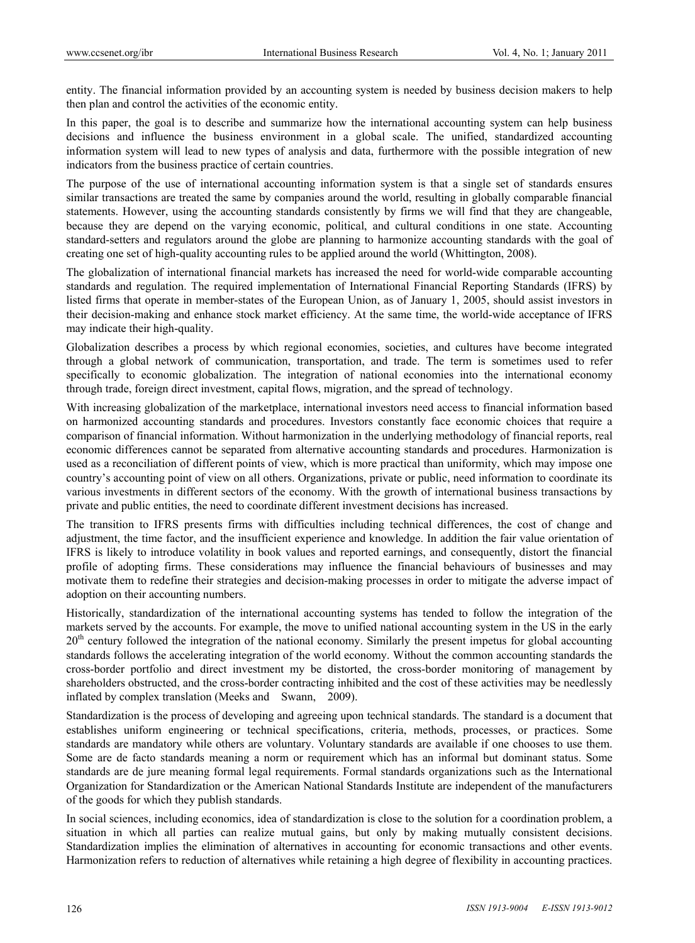entity. The financial information provided by an accounting system is needed by business decision makers to help then plan and control the activities of the economic entity.

In this paper, the goal is to describe and summarize how the international accounting system can help business decisions and influence the business environment in a global scale. The unified, standardized accounting information system will lead to new types of analysis and data, furthermore with the possible integration of new indicators from the business practice of certain countries.

The purpose of the use of international accounting information system is that a single set of standards ensures similar transactions are treated the same by companies around the world, resulting in globally comparable financial statements. However, using the accounting standards consistently by firms we will find that they are changeable, because they are depend on the varying economic, political, and cultural conditions in one state. Accounting standard-setters and regulators around the globe are planning to harmonize accounting standards with the goal of creating one set of high-quality accounting rules to be applied around the world (Whittington, 2008).

The globalization of international financial markets has increased the need for world-wide comparable accounting standards and regulation. The required implementation of International Financial Reporting Standards (IFRS) by listed firms that operate in member-states of the European Union, as of January 1, 2005, should assist investors in their decision-making and enhance stock market efficiency. At the same time, the world-wide acceptance of IFRS may indicate their high-quality.

Globalization describes a process by which regional economies, societies, and cultures have become integrated through a global network of communication, transportation, and trade. The term is sometimes used to refer specifically to economic globalization. The integration of national economies into the international economy through trade, foreign direct investment, capital flows, migration, and the spread of technology.

With increasing globalization of the marketplace, international investors need access to financial information based on harmonized accounting standards and procedures. Investors constantly face economic choices that require a comparison of financial information. Without harmonization in the underlying methodology of financial reports, real economic differences cannot be separated from alternative accounting standards and procedures. Harmonization is used as a reconciliation of different points of view, which is more practical than uniformity, which may impose one country's accounting point of view on all others. Organizations, private or public, need information to coordinate its various investments in different sectors of the economy. With the growth of international business transactions by private and public entities, the need to coordinate different investment decisions has increased.

The transition to IFRS presents firms with difficulties including technical differences, the cost of change and adjustment, the time factor, and the insufficient experience and knowledge. In addition the fair value orientation of IFRS is likely to introduce volatility in book values and reported earnings, and consequently, distort the financial profile of adopting firms. These considerations may influence the financial behaviours of businesses and may motivate them to redefine their strategies and decision-making processes in order to mitigate the adverse impact of adoption on their accounting numbers.

Historically, standardization of the international accounting systems has tended to follow the integration of the markets served by the accounts. For example, the move to unified national accounting system in the US in the early  $20<sup>th</sup>$  century followed the integration of the national economy. Similarly the present impetus for global accounting standards follows the accelerating integration of the world economy. Without the common accounting standards the cross-border portfolio and direct investment my be distorted, the cross-border monitoring of management by shareholders obstructed, and the cross-border contracting inhibited and the cost of these activities may be needlessly inflated by complex translation (Meeks and Swann, 2009).

Standardization is the process of developing and agreeing upon technical standards. The standard is a document that establishes uniform engineering or technical specifications, criteria, methods, processes, or practices. Some standards are mandatory while others are voluntary. Voluntary standards are available if one chooses to use them. Some are de facto standards meaning a norm or requirement which has an informal but dominant status. Some standards are de jure meaning formal legal requirements. Formal standards organizations such as the International Organization for Standardization or the American National Standards Institute are independent of the manufacturers of the goods for which they publish standards.

In social sciences, including economics, idea of standardization is close to the solution for a coordination problem, a situation in which all parties can realize mutual gains, but only by making mutually consistent decisions. Standardization implies the elimination of alternatives in accounting for economic transactions and other events. Harmonization refers to reduction of alternatives while retaining a high degree of flexibility in accounting practices.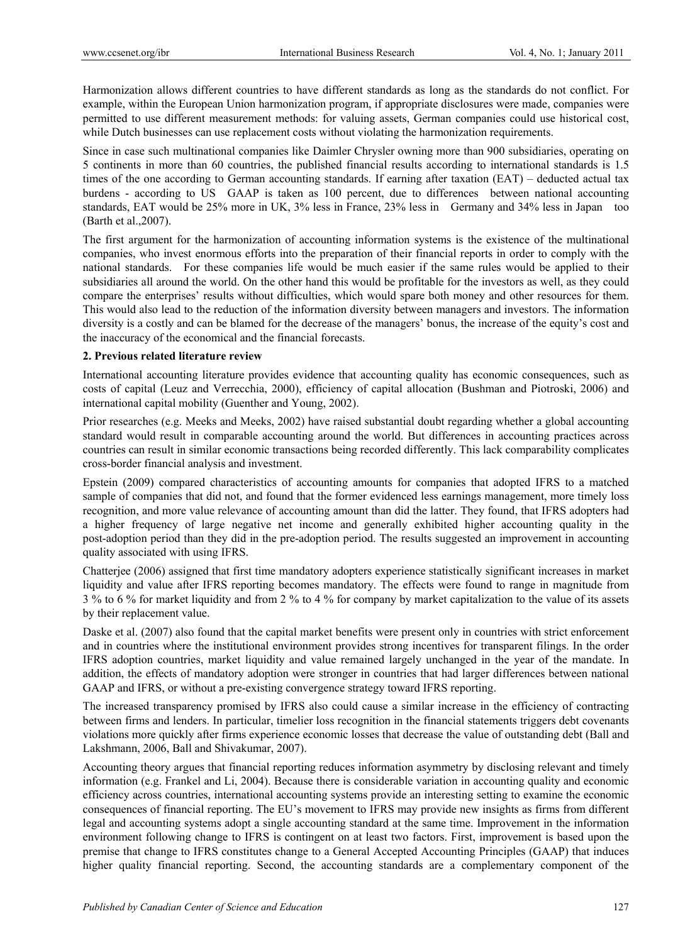Harmonization allows different countries to have different standards as long as the standards do not conflict. For example, within the European Union harmonization program, if appropriate disclosures were made, companies were permitted to use different measurement methods: for valuing assets, German companies could use historical cost, while Dutch businesses can use replacement costs without violating the harmonization requirements.

Since in case such multinational companies like Daimler Chrysler owning more than 900 subsidiaries, operating on 5 continents in more than 60 countries, the published financial results according to international standards is 1.5 times of the one according to German accounting standards. If earning after taxation (EAT) – deducted actual tax burdens - according to US GAAP is taken as 100 percent, due to differences between national accounting standards, EAT would be 25% more in UK, 3% less in France, 23% less in Germany and 34% less in Japan too (Barth et al.,2007).

The first argument for the harmonization of accounting information systems is the existence of the multinational companies, who invest enormous efforts into the preparation of their financial reports in order to comply with the national standards. For these companies life would be much easier if the same rules would be applied to their subsidiaries all around the world. On the other hand this would be profitable for the investors as well, as they could compare the enterprises' results without difficulties, which would spare both money and other resources for them. This would also lead to the reduction of the information diversity between managers and investors. The information diversity is a costly and can be blamed for the decrease of the managers' bonus, the increase of the equity's cost and the inaccuracy of the economical and the financial forecasts.

## **2. Previous related literature review**

International accounting literature provides evidence that accounting quality has economic consequences, such as costs of capital (Leuz and Verrecchia, 2000), efficiency of capital allocation (Bushman and Piotroski, 2006) and international capital mobility (Guenther and Young, 2002).

Prior researches (e.g. Meeks and Meeks, 2002) have raised substantial doubt regarding whether a global accounting standard would result in comparable accounting around the world. But differences in accounting practices across countries can result in similar economic transactions being recorded differently. This lack comparability complicates cross-border financial analysis and investment.

Epstein (2009) compared characteristics of accounting amounts for companies that adopted IFRS to a matched sample of companies that did not, and found that the former evidenced less earnings management, more timely loss recognition, and more value relevance of accounting amount than did the latter. They found, that IFRS adopters had a higher frequency of large negative net income and generally exhibited higher accounting quality in the post-adoption period than they did in the pre-adoption period. The results suggested an improvement in accounting quality associated with using IFRS.

Chatterjee (2006) assigned that first time mandatory adopters experience statistically significant increases in market liquidity and value after IFRS reporting becomes mandatory. The effects were found to range in magnitude from 3 % to 6 % for market liquidity and from 2 % to 4 % for company by market capitalization to the value of its assets by their replacement value.

Daske et al. (2007) also found that the capital market benefits were present only in countries with strict enforcement and in countries where the institutional environment provides strong incentives for transparent filings. In the order IFRS adoption countries, market liquidity and value remained largely unchanged in the year of the mandate. In addition, the effects of mandatory adoption were stronger in countries that had larger differences between national GAAP and IFRS, or without a pre-existing convergence strategy toward IFRS reporting.

The increased transparency promised by IFRS also could cause a similar increase in the efficiency of contracting between firms and lenders. In particular, timelier loss recognition in the financial statements triggers debt covenants violations more quickly after firms experience economic losses that decrease the value of outstanding debt (Ball and Lakshmann, 2006, Ball and Shivakumar, 2007).

Accounting theory argues that financial reporting reduces information asymmetry by disclosing relevant and timely information (e.g. Frankel and Li, 2004). Because there is considerable variation in accounting quality and economic efficiency across countries, international accounting systems provide an interesting setting to examine the economic consequences of financial reporting. The EU's movement to IFRS may provide new insights as firms from different legal and accounting systems adopt a single accounting standard at the same time. Improvement in the information environment following change to IFRS is contingent on at least two factors. First, improvement is based upon the premise that change to IFRS constitutes change to a General Accepted Accounting Principles (GAAP) that induces higher quality financial reporting. Second, the accounting standards are a complementary component of the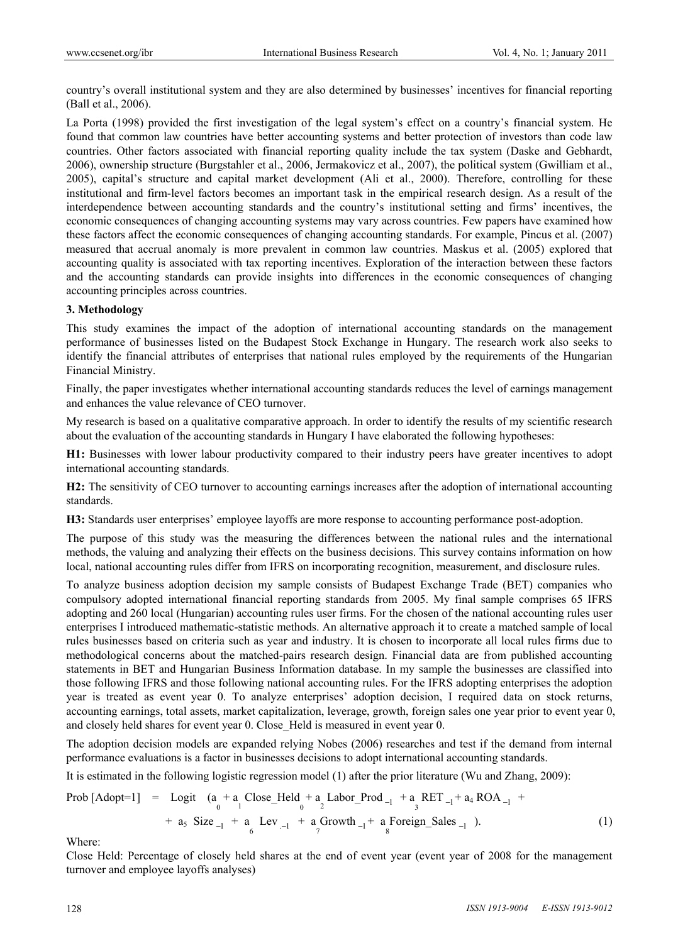country's overall institutional system and they are also determined by businesses' incentives for financial reporting (Ball et al., 2006).

La Porta (1998) provided the first investigation of the legal system's effect on a country's financial system. He found that common law countries have better accounting systems and better protection of investors than code law countries. Other factors associated with financial reporting quality include the tax system (Daske and Gebhardt, 2006), ownership structure (Burgstahler et al., 2006, Jermakovicz et al., 2007), the political system (Gwilliam et al., 2005), capital's structure and capital market development (Ali et al., 2000). Therefore, controlling for these institutional and firm-level factors becomes an important task in the empirical research design. As a result of the interdependence between accounting standards and the country's institutional setting and firms' incentives, the economic consequences of changing accounting systems may vary across countries. Few papers have examined how these factors affect the economic consequences of changing accounting standards. For example, Pincus et al. (2007) measured that accrual anomaly is more prevalent in common law countries. Maskus et al. (2005) explored that accounting quality is associated with tax reporting incentives. Exploration of the interaction between these factors and the accounting standards can provide insights into differences in the economic consequences of changing accounting principles across countries.

#### **3. Methodology**

This study examines the impact of the adoption of international accounting standards on the management performance of businesses listed on the Budapest Stock Exchange in Hungary. The research work also seeks to identify the financial attributes of enterprises that national rules employed by the requirements of the Hungarian Financial Ministry.

Finally, the paper investigates whether international accounting standards reduces the level of earnings management and enhances the value relevance of CEO turnover.

My research is based on a qualitative comparative approach. In order to identify the results of my scientific research about the evaluation of the accounting standards in Hungary I have elaborated the following hypotheses:

**H1:** Businesses with lower labour productivity compared to their industry peers have greater incentives to adopt international accounting standards.

**H2:** The sensitivity of CEO turnover to accounting earnings increases after the adoption of international accounting standards.

**H3:** Standards user enterprises' employee layoffs are more response to accounting performance post-adoption.

The purpose of this study was the measuring the differences between the national rules and the international methods, the valuing and analyzing their effects on the business decisions. This survey contains information on how local, national accounting rules differ from IFRS on incorporating recognition, measurement, and disclosure rules.

To analyze business adoption decision my sample consists of Budapest Exchange Trade (BET) companies who compulsory adopted international financial reporting standards from 2005. My final sample comprises 65 IFRS adopting and 260 local (Hungarian) accounting rules user firms. For the chosen of the national accounting rules user enterprises I introduced mathematic-statistic methods. An alternative approach it to create a matched sample of local rules businesses based on criteria such as year and industry. It is chosen to incorporate all local rules firms due to methodological concerns about the matched-pairs research design. Financial data are from published accounting statements in BET and Hungarian Business Information database. In my sample the businesses are classified into those following IFRS and those following national accounting rules. For the IFRS adopting enterprises the adoption year is treated as event year 0. To analyze enterprises' adoption decision, I required data on stock returns, accounting earnings, total assets, market capitalization, leverage, growth, foreign sales one year prior to event year 0, and closely held shares for event year 0. Close\_Held is measured in event year 0.

The adoption decision models are expanded relying Nobes (2006) researches and test if the demand from internal performance evaluations is a factor in businesses decisions to adopt international accounting standards.

It is estimated in the following logistic regression model (1) after the prior literature (Wu and Zhang, 2009):

Prob [Adopt=1] = Logit 
$$
(a + a
$$
 Close\_Held + a\_ Labor\_Prod<sub>-1</sub> + a\_3 RET<sub>-1</sub> + a\_4 ROA<sub>-1</sub> +  
+ a\_5 Size<sub>-1</sub> + a\_ Lev<sub>-1</sub> + a\_ Growth<sub>-1</sub> + a\_5 Foreign\_Sales<sub>-1</sub> ). (1)

Where:

Close Held: Percentage of closely held shares at the end of event year (event year of 2008 for the management turnover and employee layoffs analyses)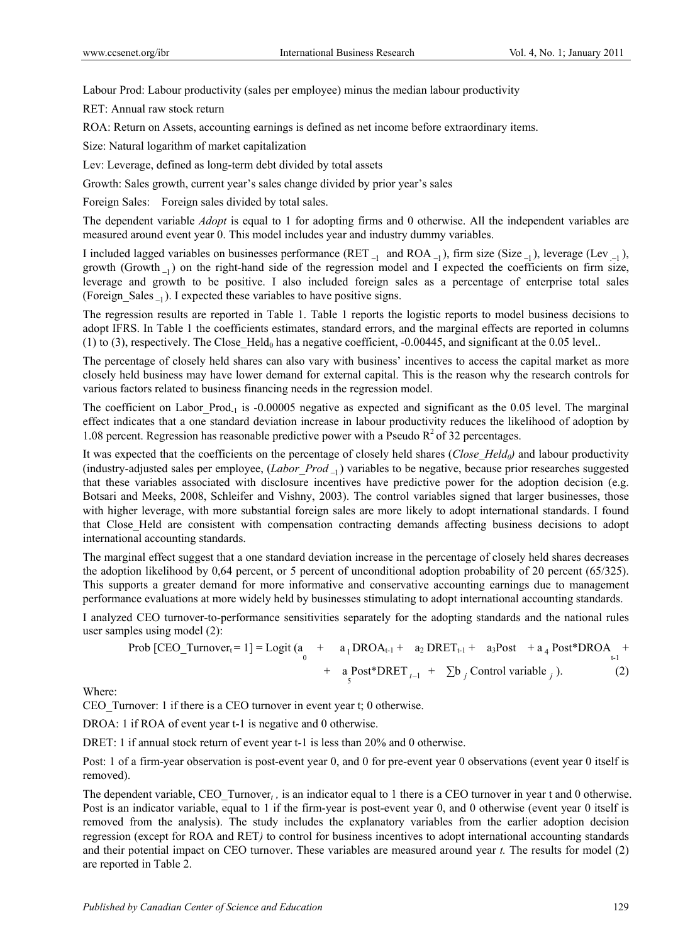Labour Prod: Labour productivity (sales per employee) minus the median labour productivity

RET: Annual raw stock return

ROA: Return on Assets, accounting earnings is defined as net income before extraordinary items.

Size: Natural logarithm of market capitalization

Lev: Leverage, defined as long-term debt divided by total assets

Growth: Sales growth, current year's sales change divided by prior year's sales

Foreign Sales:Foreign sales divided by total sales.

The dependent variable *Adopt* is equal to 1 for adopting firms and 0 otherwise. All the independent variables are measured around event year 0. This model includes year and industry dummy variables.

I included lagged variables on businesses performance (RET<sub>-1</sub> and ROA<sub>-1</sub>), firm size (Size<sub>-1</sub>), leverage (Lev<sub>-1</sub>), growth (Growth  $_{-1}$ ) on the right-hand side of the regression model and I expected the coefficients on firm size, leverage and growth to be positive. I also included foreign sales as a percentage of enterprise total sales (Foreign Sales  $_1$ ). I expected these variables to have positive signs.

The regression results are reported in Table 1. Table 1 reports the logistic reports to model business decisions to adopt IFRS. In Table 1 the coefficients estimates, standard errors, and the marginal effects are reported in columns (1) to (3), respectively. The Close–Held<sub>0</sub> has a negative coefficient,  $-0.00445$ , and significant at the 0.05 level..

The percentage of closely held shares can also vary with business' incentives to access the capital market as more closely held business may have lower demand for external capital. This is the reason why the research controls for various factors related to business financing needs in the regression model.

The coefficient on Labor\_Prod<sub>-1</sub> is -0.00005 negative as expected and significant as the 0.05 level. The marginal effect indicates that a one standard deviation increase in labour productivity reduces the likelihood of adoption by 1.08 percent. Regression has reasonable predictive power with a Pseudo  $R^2$  of 32 percentages.

It was expected that the coefficients on the percentage of closely held shares (*Close\_Held0)* and labour productivity (industry-adjusted sales per employee, (*Labor\_Prod* <sub>-1</sub>) variables to be negative, because prior researches suggested that these variables associated with disclosure incentives have predictive power for the adoption decision (e.g. Botsari and Meeks, 2008, Schleifer and Vishny, 2003). The control variables signed that larger businesses, those with higher leverage, with more substantial foreign sales are more likely to adopt international standards. I found that Close\_Held are consistent with compensation contracting demands affecting business decisions to adopt international accounting standards.

The marginal effect suggest that a one standard deviation increase in the percentage of closely held shares decreases the adoption likelihood by 0,64 percent, or 5 percent of unconditional adoption probability of 20 percent (65/325). This supports a greater demand for more informative and conservative accounting earnings due to management performance evaluations at more widely held by businesses stimulating to adopt international accounting standards.

I analyzed CEO turnover-to-performance sensitivities separately for the adopting standards and the national rules user samples using model (2):

Prob [CEO\_Turnover<sub>t</sub> = 1] = Logit (a<sub>0</sub> + a<sub>1</sub> DROA<sub>t-1</sub> + a<sub>2</sub> DRET<sub>t-1</sub> + a<sub>3</sub>Post + a<sub>4</sub> Post\*DROA<sub>t-1</sub> + a<sub>5</sub> Post\*DRET<sub>t-1</sub> + 
$$
\sum_{j} b_j \text{ Control variable }_{j}
$$
 (2)

Where:

CEO\_Turnover: 1 if there is a CEO turnover in event year t; 0 otherwise.

DROA: 1 if ROA of event year t-1 is negative and 0 otherwise.

DRET: 1 if annual stock return of event year t-1 is less than 20% and 0 otherwise.

Post: 1 of a firm-year observation is post-event year 0, and 0 for pre-event year 0 observations (event year 0 itself is removed).

The dependent variable, CEO Turnover<sub>t</sub>, is an indicator equal to 1 there is a CEO turnover in year t and 0 otherwise. Post is an indicator variable, equal to 1 if the firm-year is post-event year 0, and 0 otherwise (event year 0 itself is removed from the analysis). The study includes the explanatory variables from the earlier adoption decision regression (except for ROA and RET*)* to control for business incentives to adopt international accounting standards and their potential impact on CEO turnover. These variables are measured around year *t.* The results for model (2) are reported in Table 2.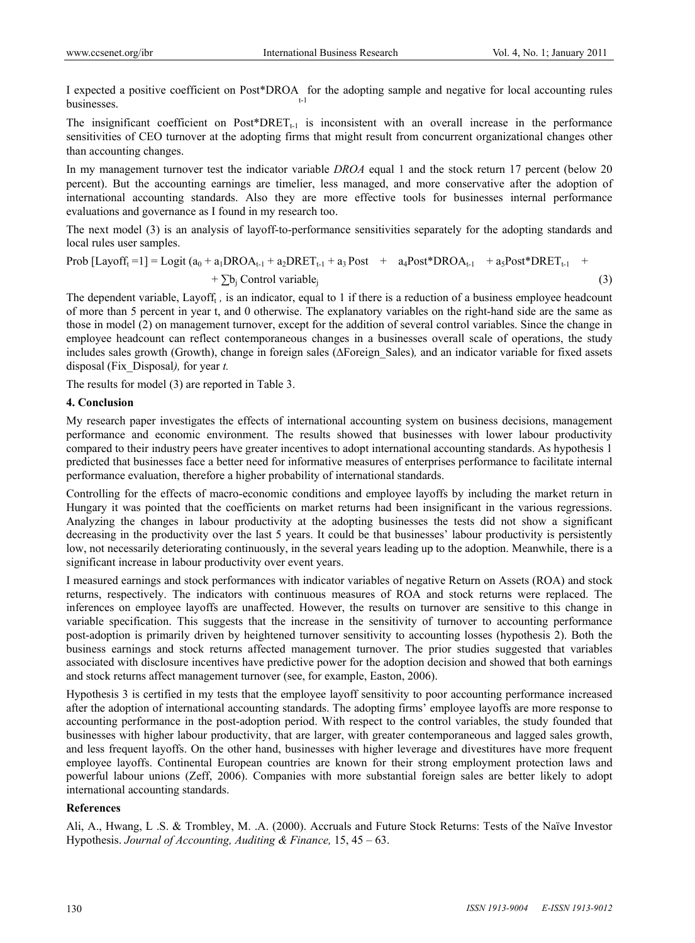I expected a positive coefficient on Post\*DROA for the adopting sample and negative for local accounting rules<br>hydrogeoe businesses.

The insignificant coefficient on  $Post*DRET_{t-1}$  is inconsistent with an overall increase in the performance sensitivities of CEO turnover at the adopting firms that might result from concurrent organizational changes other than accounting changes.

In my management turnover test the indicator variable *DROA* equal 1 and the stock return 17 percent (below 20 percent). But the accounting earnings are timelier, less managed, and more conservative after the adoption of international accounting standards. Also they are more effective tools for businesses internal performance evaluations and governance as I found in my research too.

The next model (3) is an analysis of layoff-to-performance sensitivities separately for the adopting standards and local rules user samples.

Prob [Layoff<sub>t</sub>=1] = Logit (
$$
a_0 + a_1DROA_{t-1} + a_2DRET_{t-1} + a_3Post * DROA_{t-1} + a_5Post * DRET_{t-1} ++  $\sum b_j$  Control variable<sub>j</sub> (3)
$$

The dependent variable, Layoff<sub>t</sub>, is an indicator, equal to 1 if there is a reduction of a business employee headcount of more than 5 percent in year t, and 0 otherwise. The explanatory variables on the right-hand side are the same as those in model (2) on management turnover, except for the addition of several control variables. Since the change in employee headcount can reflect contemporaneous changes in a businesses overall scale of operations, the study includes sales growth (Growth), change in foreign sales (∆Foreign\_Sales)*,* and an indicator variable for fixed assets disposal (Fix\_Disposal*),* for year *t.* 

The results for model (3) are reported in Table 3.

# **4. Conclusion**

My research paper investigates the effects of international accounting system on business decisions, management performance and economic environment. The results showed that businesses with lower labour productivity compared to their industry peers have greater incentives to adopt international accounting standards. As hypothesis 1 predicted that businesses face a better need for informative measures of enterprises performance to facilitate internal performance evaluation, therefore a higher probability of international standards.

Controlling for the effects of macro-economic conditions and employee layoffs by including the market return in Hungary it was pointed that the coefficients on market returns had been insignificant in the various regressions. Analyzing the changes in labour productivity at the adopting businesses the tests did not show a significant decreasing in the productivity over the last 5 years. It could be that businesses' labour productivity is persistently low, not necessarily deteriorating continuously, in the several years leading up to the adoption. Meanwhile, there is a significant increase in labour productivity over event years.

I measured earnings and stock performances with indicator variables of negative Return on Assets (ROA) and stock returns, respectively. The indicators with continuous measures of ROA and stock returns were replaced. The inferences on employee layoffs are unaffected. However, the results on turnover are sensitive to this change in variable specification. This suggests that the increase in the sensitivity of turnover to accounting performance post-adoption is primarily driven by heightened turnover sensitivity to accounting losses (hypothesis 2). Both the business earnings and stock returns affected management turnover. The prior studies suggested that variables associated with disclosure incentives have predictive power for the adoption decision and showed that both earnings and stock returns affect management turnover (see, for example, Easton, 2006).

Hypothesis 3 is certified in my tests that the employee layoff sensitivity to poor accounting performance increased after the adoption of international accounting standards. The adopting firms' employee layoffs are more response to accounting performance in the post-adoption period. With respect to the control variables, the study founded that businesses with higher labour productivity, that are larger, with greater contemporaneous and lagged sales growth, and less frequent layoffs. On the other hand, businesses with higher leverage and divestitures have more frequent employee layoffs. Continental European countries are known for their strong employment protection laws and powerful labour unions (Zeff, 2006). Companies with more substantial foreign sales are better likely to adopt international accounting standards.

## **References**

Ali, A., Hwang, L .S. & Trombley, M. .A. (2000). Accruals and Future Stock Returns: Tests of the Naïve Investor Hypothesis. *Journal of Accounting, Auditing & Finance,* 15, 45 – 63.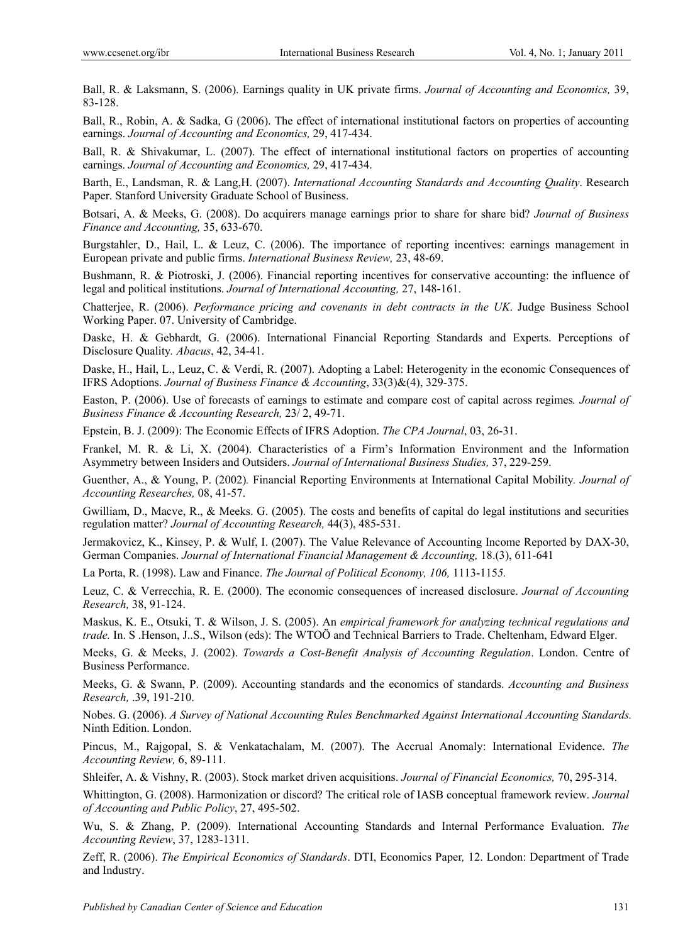Ball, R. & Laksmann, S. (2006). Earnings quality in UK private firms. *Journal of Accounting and Economics,* 39, 83-128.

Ball, R., Robin, A. & Sadka, G (2006). The effect of international institutional factors on properties of accounting earnings. *Journal of Accounting and Economics,* 29, 417-434.

Ball, R. & Shivakumar, L. (2007). The effect of international institutional factors on properties of accounting earnings. *Journal of Accounting and Economics,* 29, 417-434.

Barth, E., Landsman, R. & Lang,H. (2007). *International Accounting Standards and Accounting Quality*. Research Paper. Stanford University Graduate School of Business.

Botsari, A. & Meeks, G. (2008). Do acquirers manage earnings prior to share for share bid? *Journal of Business Finance and Accounting,* 35, 633-670.

Burgstahler, D., Hail, L. & Leuz, C. (2006). The importance of reporting incentives: earnings management in European private and public firms. *International Business Review,* 23, 48-69.

Bushmann, R. & Piotroski, J. (2006). Financial reporting incentives for conservative accounting: the influence of legal and political institutions. *Journal of International Accounting,* 27, 148-161.

Chatterjee, R. (2006). *Performance pricing and covenants in debt contracts in the UK*. Judge Business School Working Paper. 07. University of Cambridge.

Daske, H. & Gebhardt, G. (2006). International Financial Reporting Standards and Experts. Perceptions of Disclosure Quality*. Abacus*, 42, 34-41.

Daske, H., Hail, L., Leuz, C. & Verdi, R. (2007). Adopting a Label: Heterogenity in the economic Consequences of IFRS Adoptions. *Journal of Business Finance & Accounting*, 33(3)&(4), 329-375.

Easton, P. (2006). Use of forecasts of earnings to estimate and compare cost of capital across regimes*. Journal of Business Finance & Accounting Research,* 23/ 2, 49-71.

Epstein, B. J. (2009): The Economic Effects of IFRS Adoption. *The CPA Journal*, 03, 26-31.

Frankel, M. R. & Li, X. (2004). Characteristics of a Firm's Information Environment and the Information Asymmetry between Insiders and Outsiders. *Journal of International Business Studies,* 37, 229-259.

Guenther, A., & Young, P. (2002)*.* Financial Reporting Environments at International Capital Mobility*. Journal of Accounting Researches,* 08, 41-57.

Gwilliam, D., Macve, R., & Meeks. G. (2005). The costs and benefits of capital do legal institutions and securities regulation matter? *Journal of Accounting Research,* 44(3), 485-531.

Jermakovicz, K., Kinsey, P. & Wulf, I. (2007). The Value Relevance of Accounting Income Reported by DAX-30, German Companies. *Journal of International Financial Management & Accounting,* 18.(3), 611-641

La Porta, R. (1998). Law and Finance. *The Journal of Political Economy, 106,* 1113-115*5.* 

Leuz, C. & Verrecchia, R. E. (2000). The economic consequences of increased disclosure. *Journal of Accounting Research,* 38, 91-124.

Maskus, K. E., Otsuki, T. & Wilson, J. S. (2005). An *empirical framework for analyzing technical regulations and trade.* In. S .Henson, J..S., Wilson (eds): The WTOÖ and Technical Barriers to Trade. Cheltenham, Edward Elger.

Meeks, G. & Meeks, J. (2002). *Towards a Cost-Benefit Analysis of Accounting Regulation*. London. Centre of Business Performance.

Meeks, G. & Swann, P. (2009). Accounting standards and the economics of standards. *Accounting and Business Research,* .39, 191-210.

Nobes. G. (2006). *A Survey of National Accounting Rules Benchmarked Against International Accounting Standards.* Ninth Edition. London.

Pincus, M., Rajgopal, S. & Venkatachalam, M. (2007). The Accrual Anomaly: International Evidence. *The Accounting Review,* 6, 89-111.

Shleifer, A. & Vishny, R. (2003). Stock market driven acquisitions. *Journal of Financial Economics,* 70, 295-314.

Whittington, G. (2008). Harmonization or discord? The critical role of IASB conceptual framework review. *Journal of Accounting and Public Policy*, 27, 495-502.

Wu, S. & Zhang, P. (2009). International Accounting Standards and Internal Performance Evaluation. *The Accounting Review*, 37, 1283-1311.

Zeff, R. (2006). *The Empirical Economics of Standards*. DTI, Economics Paper*,* 12. London: Department of Trade and Industry.